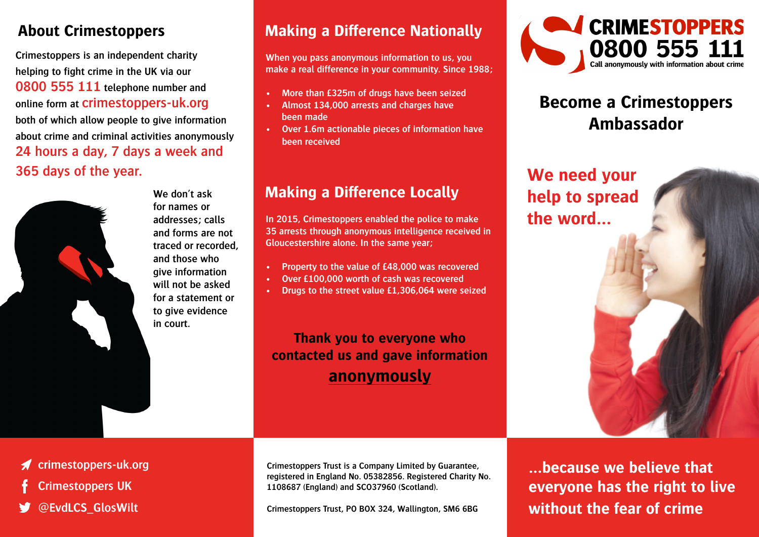### **About Crimestoppers**

**Crimestoppers is an independent charity helping to fight crime in the UK via our 0800 555 111 telephone number and online form at crimestoppers-uk.org both of which allow people to give information about crime and criminal activities anonymously 24 hours a day, 7 days a week and 365 days of the year.**



**We don't ask for names or addresses; calls and forms are not traced or recorded, and those who give information will not be asked for a statement or to give evidence in court.** 

## **Making a Difference Nationally**

**When you pass anonymous information to us, you make a real difference in your community. Since 1988;**

- **• More than £325m of drugs have been seized**
- **• Almost 134,000 arrests and charges have been made**
- **• Over 1.6m actionable pieces of information have been received**

## **Making a Difference Locally**

**In 2015, Crimestoppers enabled the police to make 35 arrests through anonymous intelligence received in Gloucestershire alone. In the same year;**

- **• Property to the value of £48,000 was recovered**
- **• Over £100,000 worth of cash was recovered**
- **• Drugs to the street value £1,306,064 were seized**

**Thank you to everyone who contacted us and gave information anonymously**



## **Become a Crimestoppers Ambassador**

**We need your help to spread the word…**



 $\mathcal{N}_{N}$ 

#### **crimestoppers-uk.org**

- **Crimestoppers UK**
- **@EvdLCS\_GlosWilt**

**Crimestoppers Trust is a Company Limited by Guarantee, registered in England No. 05382856. Registered Charity No. 1108687 (England) and SCO37960 (Scotland).**

**Crimestoppers Trust, PO BOX 324, Wallington, SM6 6BG**